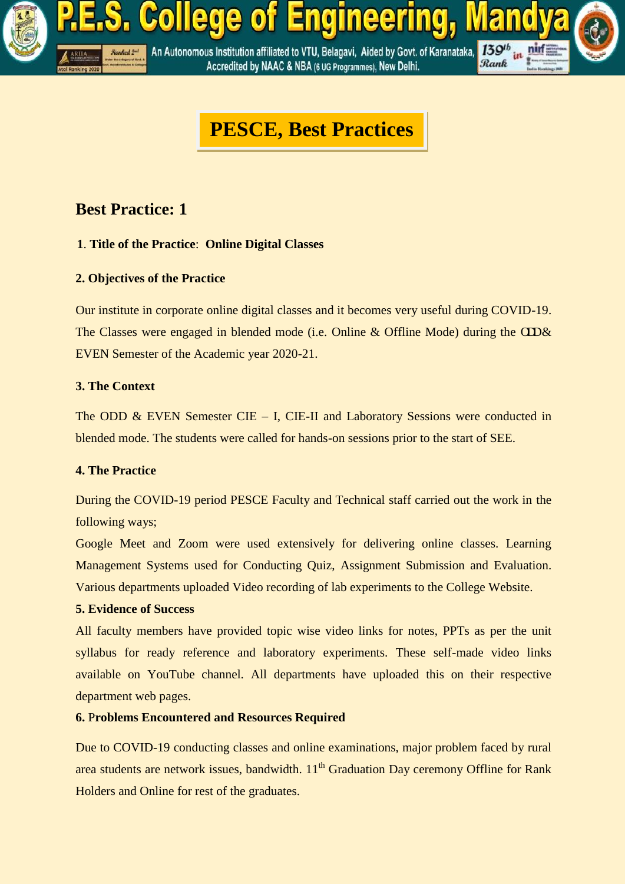

# **PESCE, Best Practices**

## **Best Practice: 1**

### **1**. **Title of the Practice**: **Online Digital Classes**

### **2. Objectives of the Practice**

Our institute in corporate online digital classes and it becomes very useful during COVID-19. The Classes were engaged in blended mode (i.e. Online & Offline Mode) during the  $CD\&$ EVEN Semester of the Academic year 2020-21.

### **3. The Context**

The ODD  $\&$  EVEN Semester CIE – I, CIE-II and Laboratory Sessions were conducted in blended mode. The students were called for hands-on sessions prior to the start of SEE.

#### **4. The Practice**

During the COVID-19 period PESCE Faculty and Technical staff carried out the work in the following ways;

Google Meet and Zoom were used extensively for delivering online classes. Learning Management Systems used for Conducting Quiz, Assignment Submission and Evaluation. Various departments uploaded Video recording of lab experiments to the College Website.

#### **5. Evidence of Success**

All faculty members have provided topic wise video links for notes, PPTs as per the unit syllabus for ready reference and laboratory experiments. These self-made video links available on YouTube channel. All departments have uploaded this on their respective department web pages.

### **6.** P**roblems Encountered and Resources Required**

Due to COVID-19 conducting classes and online examinations, major problem faced by rural area students are network issues, bandwidth.  $11<sup>th</sup>$  Graduation Day ceremony Offline for Rank Holders and Online for rest of the graduates.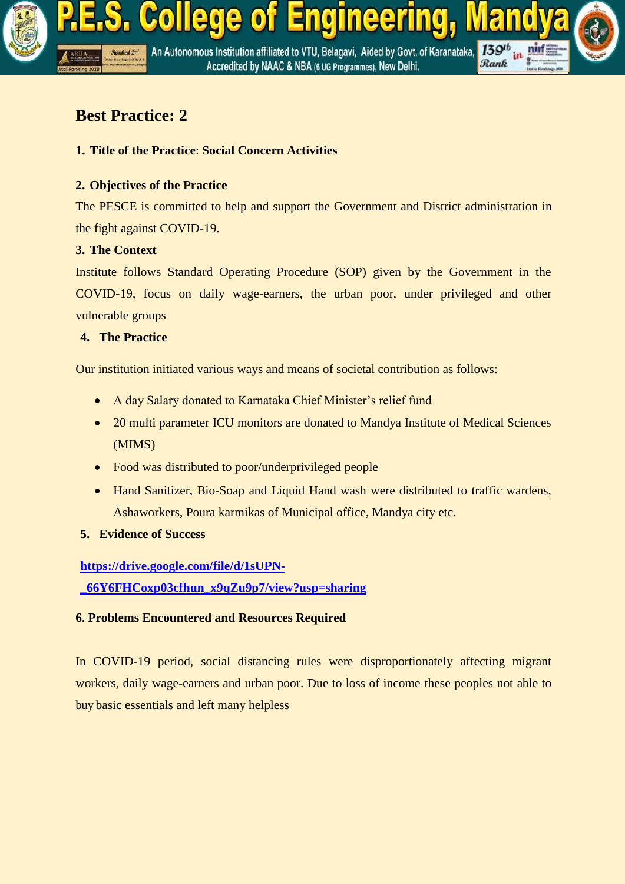

## **Best Practice: 2**

## **1. Title of the Practice**: **Social Concern Activities**

## **2. Objectives of the Practice**

The PESCE is committed to help and support the Government and District administration in the fight against COVID-19.

## **3. The Context**

Institute follows Standard Operating Procedure (SOP) given by the Government in the COVID-19, focus on daily wage-earners, the urban poor, under privileged and other vulnerable groups

## **4. The Practice**

Our institution initiated various ways and means of societal contribution as follows:

- A day Salary donated to Karnataka Chief Minister's relief fund
- 20 multi parameter ICU monitors are donated to Mandya Institute of Medical Sciences (MIMS)
- Food was distributed to poor/underprivileged people
- Hand Sanitizer, Bio-Soap and Liquid Hand wash were distributed to traffic wardens, Ashaworkers, Poura karmikas of Municipal office, Mandya city etc.
- **5. Evidence of Success**

**[https://drive.google.com/file/d/1sUPN-](https://drive.google.com/file/d/1sUPN-_66Y6FHCoxp03cfhun_x9qZu9p7/view?usp=sharing)**

**[\\_66Y6FHCoxp03cfhun\\_x9qZu9p7/view?usp=sharing](https://drive.google.com/file/d/1sUPN-_66Y6FHCoxp03cfhun_x9qZu9p7/view?usp=sharing)**

### **6. Problems Encountered and Resources Required**

In COVID-19 period, social distancing rules were disproportionately affecting migrant workers, daily wage-earners and urban poor. Due to loss of income these peoples not able to buy basic essentials and left many helpless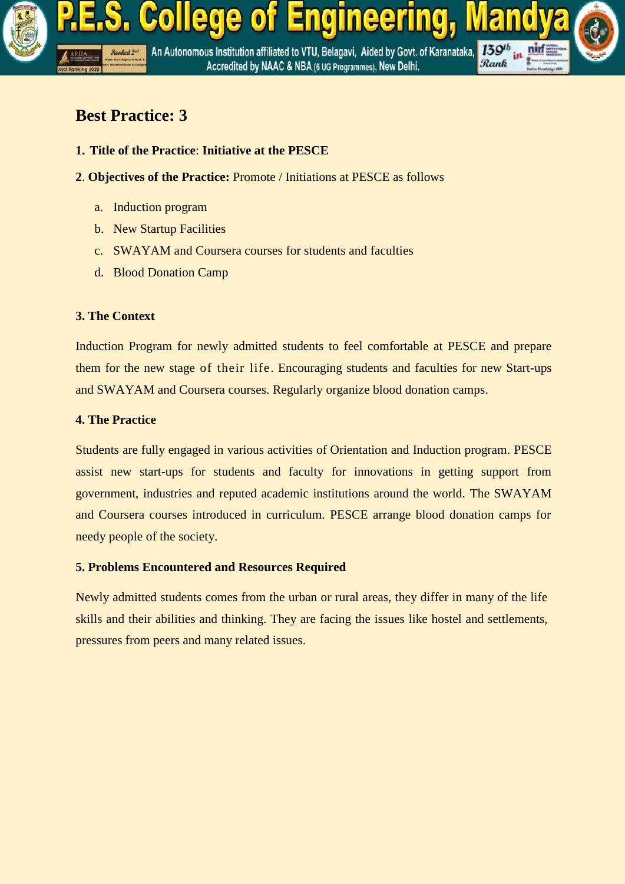

## **Best Practice: 3**

- **1. Title of the Practice**: **Initiative at the PESCE**
- **2**. **Objectives of the Practice:** Promote / Initiations at PESCE as follows
	- a. Induction program
	- b. New Startup Facilities
	- c. SWAYAM and Coursera courses for students and faculties
	- d. Blood Donation Camp

### **3. The Context**

Induction Program for newly admitted students to feel comfortable at PESCE and prepare them for the new stage of their life. Encouraging students and faculties for new Start-ups and SWAYAM and Coursera courses. Regularly organize blood donation camps.

#### **4. The Practice**

Students are fully engaged in various activities of Orientation and Induction program. PESCE assist new start-ups for students and faculty for innovations in getting support from government, industries and reputed academic institutions around the world. The SWAYAM and Coursera courses introduced in curriculum. PESCE arrange blood donation camps for needy people of the society.

#### **5. Problems Encountered and Resources Required**

Newly admitted students comes from the urban or rural areas, they differ in many of the life skills and their abilities and thinking. They are facing the issues like hostel and settlements, pressures from peers and many related issues.